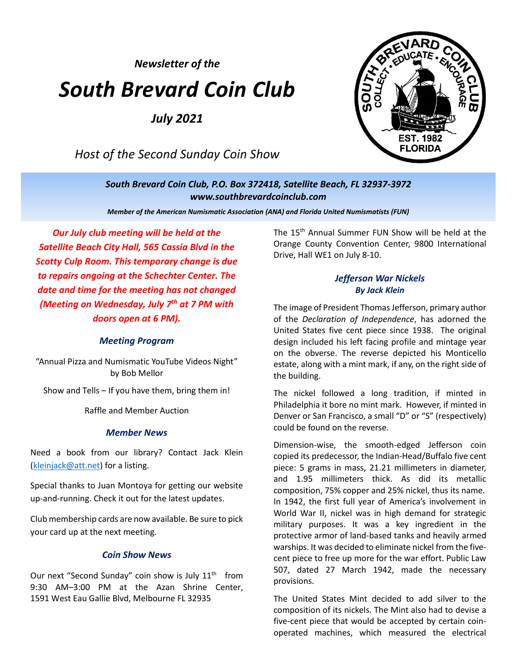*Newsletter of the*

# *South Brevard Coin Club*

*July 2021*

*Host of the Second Sunday Coin Show*



*South Brevard Coin Club, P.O. Box 372418, Satellite Beach, FL 32937-3972 [www.southbrevardcoinclub.com](http://www.southbrevardcoinclub.com/)*

*Member of the American Numismatic Association (ANA) and Florida United Numismatists (FUN)*

*Our July club meeting will be held at the Satellite Beach City Hall, 565 Cassia Blvd in the Scotty Culp Room. This temporary change is due to repairs ongoing at the Schechter Center. The date and time for the meeting has not changed (Meeting on Wednesday, July 7 th at 7 PM with doors open at 6 PM).*

#### *Meeting Program*

"Annual Pizza and Numismatic YouTube Videos Night" by Bob Mellor

Show and Tells – If you have them, bring them in!

Raffle and Member Auction

#### *Member News*

Need a book from our library? Contact Jack Klein [\(kleinjack@att.net\)](mailto:kleinjack@att.net) for a listing.

Special thanks to Juan Montoya for getting our website up-and-running. Check it out for the latest updates.

Club membership cards are now available. Be sure to pick your card up at the next meeting.

#### *Coin Show News*

Our next "Second Sunday" coin show is July 11<sup>th</sup> from 9:30 AM–3:00 PM at the Azan Shrine Center, 1591 West Eau Gallie Blvd, Melbourne FL 32935

The 15<sup>th</sup> Annual Summer FUN Show will be held at the Orange County Convention Center, 9800 International Drive, Hall WE1 on July 8-10.

#### *Jefferson War Nickels By Jack Klein*

The image of President Thomas Jefferson, primary author of the *Declaration of Independence*, has adorned the United States five cent piece since 1938. The original design included his left facing profile and mintage year on the obverse. The reverse depicted his Monticello estate, along with a mint mark, if any, on the right side of the building.

The nickel followed a long tradition, if minted in Philadelphia it bore no mint mark. However, if minted in Denver or San Francisco, a small "D" or "S" (respectively) could be found on the reverse.

Dimension-wise, the smooth-edged Jefferson coin copied its predecessor, the Indian-Head/Buffalo five cent piece: 5 grams in mass, 21.21 millimeters in diameter, and 1.95 millimeters thick. As did its metallic composition, 75% copper and 25% nickel, thus its name. In 1942, the first full year of America's involvement in World War II, nickel was in high demand for strategic military purposes. It was a key ingredient in the protective armor of land-based tanks and heavily armed warships. It was decided to eliminate nickel from the fivecent piece to free up more for the war effort. Public Law 507, dated 27 March 1942, made the necessary provisions.

The United States Mint decided to add silver to the composition of its nickels. The Mint also had to devise a five-cent piece that would be accepted by certain coinoperated machines, which measured the electrical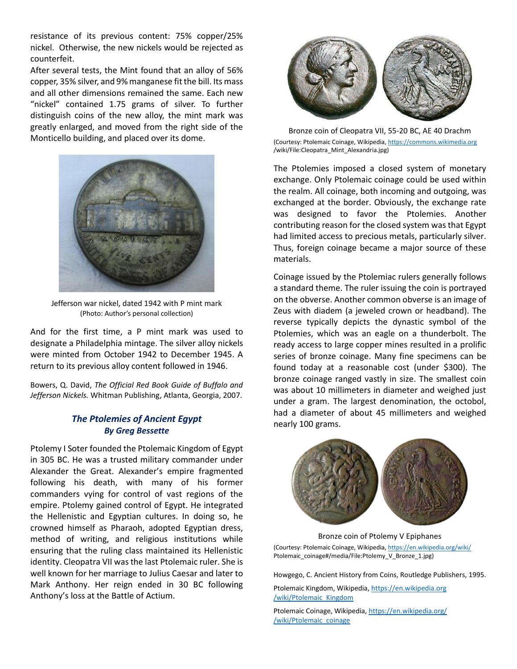resistance of its previous content: 75% copper/25% nickel. Otherwise, the new nickels would be rejected as counterfeit.

After several tests, the Mint found that an alloy of 56% copper, 35% silver, and 9% manganese fit the bill. Its mass and all other dimensions remained the same. Each new "nickel" contained 1.75 grams of silver. To further distinguish coins of the new alloy, the mint mark was greatly enlarged, and moved from the right side of the Monticello building, and placed over its dome.



Jefferson war nickel, dated 1942 with P mint mark (Photo: Author's personal collection)

And for the first time, a P mint mark was used to designate a Philadelphia mintage. The silver alloy nickels were minted from October 1942 to December 1945. A return to its previous alloy content followed in 1946.

Bowers, Q. David, *The Official Red Book Guide of Buffalo and Jefferson Nickels.* Whitman Publishing, Atlanta, Georgia, 2007.

#### *The Ptolemies of Ancient Egypt By Greg Bessette*

Ptolemy I Soter founded the Ptolemaic Kingdom of Egypt in 305 BC. He was a trusted military commander under Alexander the Great. Alexander's empire fragmented following his death, with many of his former commanders vying for control of vast regions of the empire. Ptolemy gained control of Egypt. He integrated the Hellenistic and Egyptian cultures. In doing so, he crowned himself as Pharaoh, adopted Egyptian dress, method of writing, and religious institutions while ensuring that the ruling class maintained its Hellenistic identity. Cleopatra VII was the last Ptolemaic ruler. She is well known for her marriage to Julius Caesar and later to Mark Anthony. Her reign ended in 30 BC following Anthony's loss at the Battle of Actium.



Bronze coin of Cleopatra VII, 55-20 BC, AE 40 Drachm (Courtesy: Ptolemaic Coinage, Wikipedia[, https://commons.wikimedia.org](https://commons.wikimedia.org/) /wiki/File:Cleopatra\_Mint\_Alexandria.jpg)

The Ptolemies imposed a closed system of monetary exchange. Only Ptolemaic coinage could be used within the realm. All coinage, both incoming and outgoing, was exchanged at the border. Obviously, the exchange rate was designed to favor the Ptolemies. Another contributing reason for the closed system was that Egypt had limited access to precious metals, particularly silver. Thus, foreign coinage became a major source of these materials.

Coinage issued by the Ptolemiac rulers generally follows a standard theme. The ruler issuing the coin is portrayed on the obverse. Another common obverse is an image of Zeus with diadem (a jeweled crown or headband). The reverse typically depicts the dynastic symbol of the Ptolemies, which was an eagle on a thunderbolt. The ready access to large copper mines resulted in a prolific series of bronze coinage. Many fine specimens can be found today at a reasonable cost (under \$300). The bronze coinage ranged vastly in size. The smallest coin was about 10 millimeters in diameter and weighed just under a gram. The largest denomination, the octobol, had a diameter of about 45 millimeters and weighed nearly 100 grams.



Bronze coin of Ptolemy V Epiphanes

(Courtesy: Ptolemaic Coinage, Wikipedia[, https://en.wikipedia.org/wiki/](https://en.wikipedia.org/wiki/) Ptolemaic\_coinage#/media/File:Ptolemy\_V\_Bronze\_1.jpg)

Howgego, C. Ancient History from Coins, Routledge Publishers, 1995.

Ptolemaic Kingdom, Wikipedia, https://en.wikipedia.org /wiki/Ptolemaic\_Kingdom

Ptolemaic Coinage, Wikipedia, [https://en.wikipedia.org/](https://en.wikipedia.org/%20/wiki/Ptolemaic_coinage) [/wiki/Ptolemaic\\_coinage](https://en.wikipedia.org/%20/wiki/Ptolemaic_coinage)